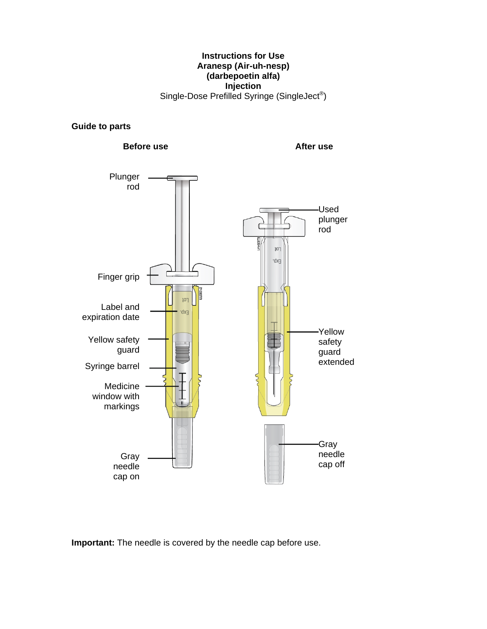#### **Instructions for Use Aranesp (Air-uh-nesp) (darbepoetin alfa) Injection**  Single-Dose Prefilled Syringe (SingleJect®)

#### **Guide to parts**



**Important:** The needle is covered by the needle cap before use.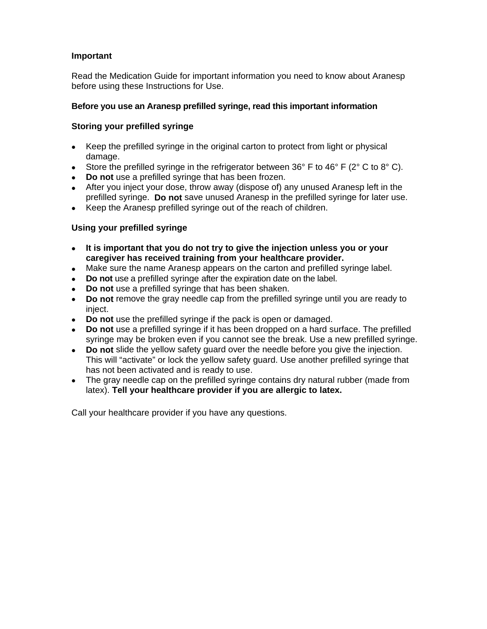# **Important**

Read the Medication Guide for important information you need to know about Aranesp before using these Instructions for Use.

# **Before you use an Aranesp prefilled syringe, read this important information**

## **Storing your prefilled syringe**

- Keep the prefilled syringe in the original carton to protect from light or physical damage.
- Store the prefilled syringe in the refrigerator between 36° F to 46° F (2° C to 8° C).
- **Do not** use a prefilled syringe that has been frozen.
- After you inject your dose, throw away (dispose of) any unused Aranesp left in the prefilled syringe. **Do not** save unused Aranesp in the prefilled syringe for later use.
- Keep the Aranesp prefilled syringe out of the reach of children.

# **Using your prefilled syringe**

- **It is important that you do not try to give the injection unless you or your caregiver has received training from your healthcare provider.**
- Make sure the name Aranesp appears on the carton and prefilled syringe label.
- **Do not** use a prefilled syringe after the expiration date on the label.
- **Do not** use a prefilled syringe that has been shaken.
- **Do not** remove the gray needle cap from the prefilled syringe until you are ready to inject.
- **Do not** use the prefilled syringe if the pack is open or damaged.
- **Do not** use a prefilled syringe if it has been dropped on a hard surface. The prefilled syringe may be broken even if you cannot see the break. Use a new prefilled syringe.
- **Do not** slide the yellow safety guard over the needle before you give the injection. This will "activate" or lock the yellow safety guard. Use another prefilled syringe that has not been activated and is ready to use.
- The gray needle cap on the prefilled syringe contains dry natural rubber (made from latex). **Tell your healthcare provider if you are allergic to latex.**

Call your healthcare provider if you have any questions.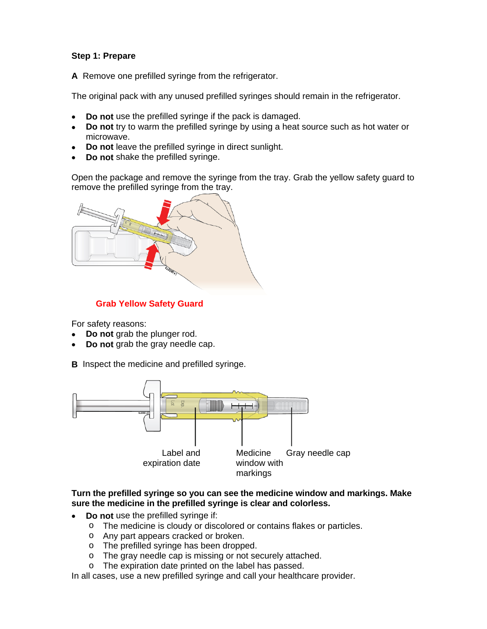## **Step 1: Prepare**

**A** Remove one prefilled syringe from the refrigerator.

The original pack with any unused prefilled syringes should remain in the refrigerator.

- **Do not** use the prefilled syringe if the pack is damaged.
- **Do not** try to warm the prefilled syringe by using a heat source such as hot water or microwave.
- **Do not** leave the prefilled syringe in direct sunlight.
- **Do not** shake the prefilled syringe.

Open the package and remove the syringe from the tray. Grab the yellow safety guard to remove the prefilled syringe from the tray.



# **Grab Yellow Safety Guard**

For safety reasons:

- **Do not** grab the plunger rod.
- **Do not** grab the gray needle cap.

**B** Inspect the medicine and prefilled syringe.



#### **Turn the prefilled syringe so you can see the medicine window and markings. Make sure the medicine in the prefilled syringe is clear and colorless.**

- **Do not** use the prefilled syringe if:
	- o The medicine is cloudy or discolored or contains flakes or particles.
	- o Any part appears cracked or broken.
	- o The prefilled syringe has been dropped.
	- o The gray needle cap is missing or not securely attached.
	- o The expiration date printed on the label has passed.

In all cases, use a new prefilled syringe and call your healthcare provider.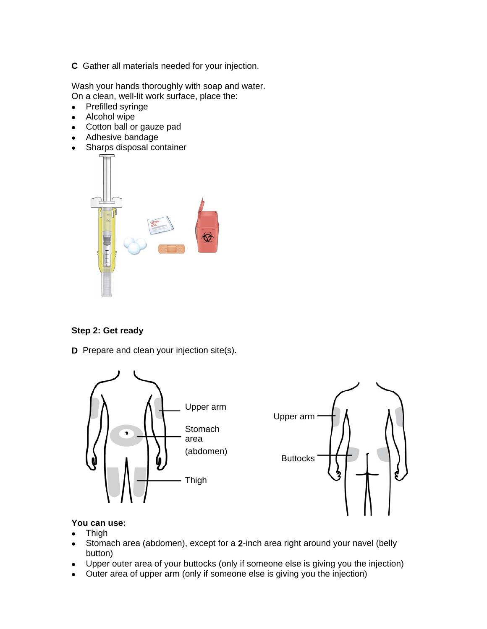**C** Gather all materials needed for your injection.

Wash your hands thoroughly with soap and water. On a clean, well-lit work surface, place the:

- Prefilled syringe
- Alcohol wipe
- Cotton ball or gauze pad
- Adhesive bandage
- Sharps disposal container



## **Step 2: Get ready**

**D** Prepare and clean your injection site(s).



#### **You can use:**

- Thigh
- Stomach area (abdomen), except for a **2**-inch area right around your navel (belly button)
- Upper outer area of your buttocks (only if someone else is giving you the injection)
- Outer area of upper arm (only if someone else is giving you the injection)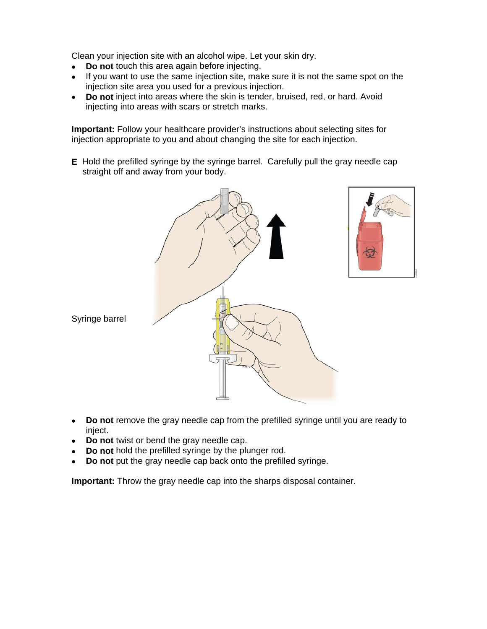Clean your injection site with an alcohol wipe. Let your skin dry.

- **Do not** touch this area again before injecting.
- If you want to use the same injection site, make sure it is not the same spot on the injection site area you used for a previous injection.
- **Do not** inject into areas where the skin is tender, bruised, red, or hard. Avoid injecting into areas with scars or stretch marks.

**Important:** Follow your healthcare provider's instructions about selecting sites for injection appropriate to you and about changing the site for each injection.

**E** Hold the prefilled syringe by the syringe barrel. Carefully pull the gray needle cap straight off and away from your body.



Syringe barrel

- **Do not** remove the gray needle cap from the prefilled syringe until you are ready to inject.
- **Do not** twist or bend the gray needle cap.
- **Do not** hold the prefilled syringe by the plunger rod.
- **Do not** put the gray needle cap back onto the prefilled syringe.

**Important:** Throw the gray needle cap into the sharps disposal container.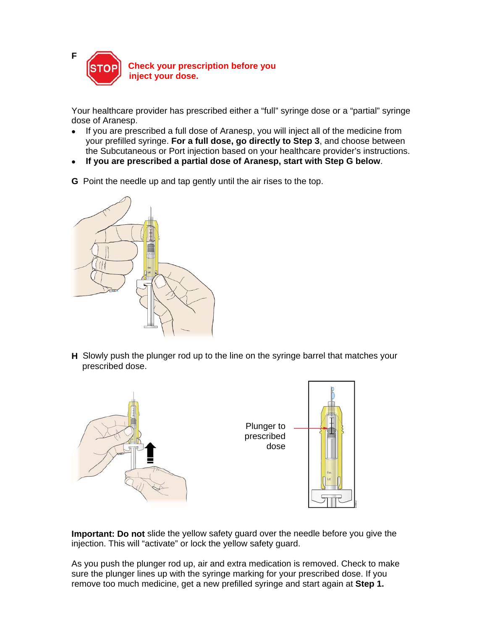

Your healthcare provider has prescribed either a "full" syringe dose or a "partial" syringe dose of Aranesp.

- If you are prescribed a full dose of Aranesp, you will inject all of the medicine from your prefilled syringe. **For a full dose, go directly to Step 3**, and choose between the Subcutaneous or Port injection based on your healthcare provider's instructions.
- **If you are prescribed a partial dose of Aranesp, start with Step G below**.
- **G** Point the needle up and tap gently until the air rises to the top.



**H** Slowly push the plunger rod up to the line on the syringe barrel that matches your prescribed dose.



**Important: Do not** slide the yellow safety guard over the needle before you give the injection. This will "activate" or lock the yellow safety guard.

As you push the plunger rod up, air and extra medication is removed. Check to make sure the plunger lines up with the syringe marking for your prescribed dose. If you remove too much medicine, get a new prefilled syringe and start again at **Step 1.**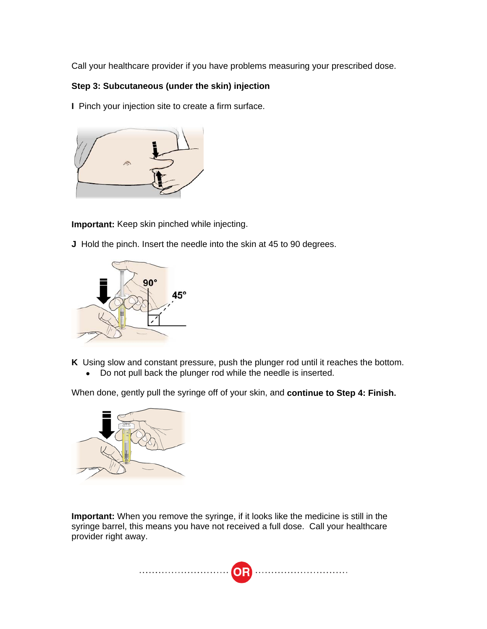Call your healthcare provider if you have problems measuring your prescribed dose.

# **Step 3: Subcutaneous (under the skin) injection**

**I** Pinch your injection site to create a firm surface.



**Important:** Keep skin pinched while injecting.

**J** Hold the pinch. Insert the needle into the skin at 45 to 90 degrees.



**K** Using slow and constant pressure, push the plunger rod until it reaches the bottom.

• Do not pull back the plunger rod while the needle is inserted.

When done, gently pull the syringe off of your skin, and **continue to Step 4: Finish.**



**Important:** When you remove the syringe, if it looks like the medicine is still in the syringe barrel, this means you have not received a full dose. Call your healthcare provider right away.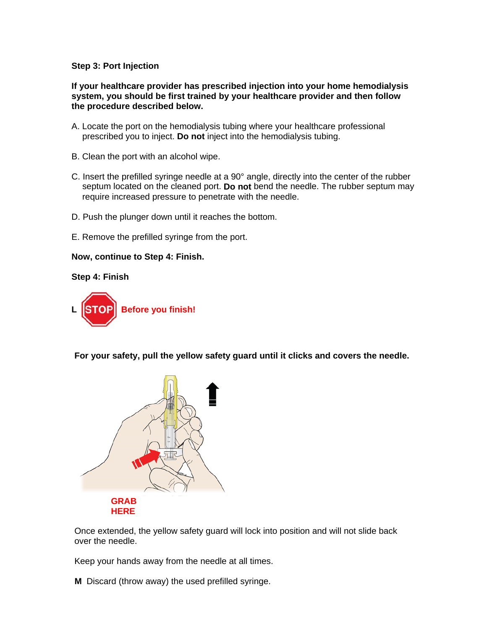#### **Step 3: Port Injection**

**If your healthcare provider has prescribed injection into your home hemodialysis system, you should be first trained by your healthcare provider and then follow the procedure described below.** 

- A. Locate the port on the hemodialysis tubing where your healthcare professional prescribed you to inject. **Do not** inject into the hemodialysis tubing.
- B. Clean the port with an alcohol wipe.
- C. Insert the prefilled syringe needle at a 90° angle, directly into the center of the rubber septum located on the cleaned port. **Do not** bend the needle. The rubber septum may require increased pressure to penetrate with the needle.
- D. Push the plunger down until it reaches the bottom.
- E. Remove the prefilled syringe from the port.

#### **Now, continue to Step 4: Finish.**

#### **Step 4: Finish**



**For your safety, pull the yellow safety guard until it clicks and covers the needle.** 



Once extended, the yellow safety guard will lock into position and will not slide back over the needle.

Keep your hands away from the needle at all times.

**M** Discard (throw away) the used prefilled syringe.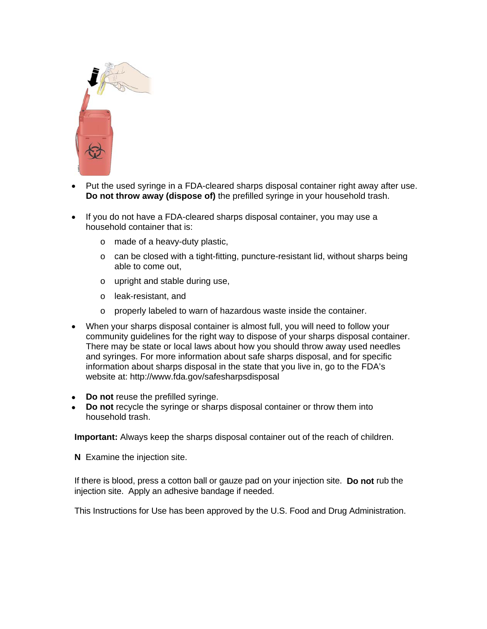

- Put the used syringe in a FDA-cleared sharps disposal container right away after use. **Do not throw away (dispose of)** the prefilled syringe in your household trash.
- If you do not have a FDA-cleared sharps disposal container, you may use a household container that is:
	- o made of a heavy-duty plastic,
	- o can be closed with a tight-fitting, puncture-resistant lid, without sharps being able to come out,
	- o upright and stable during use,
	- o leak-resistant, and
	- o properly labeled to warn of hazardous waste inside the container.
- When your sharps disposal container is almost full, you will need to follow your community guidelines for the right way to dispose of your sharps disposal container. There may be state or local laws about how you should throw away used needles and syringes. For more information about safe sharps disposal, and for specific information about sharps disposal in the state that you live in, go to the FDA's website at: http://www.fda.gov/safesharpsdisposal
- **Do not** reuse the prefilled syringe.
- **Do not** recycle the syringe or sharps disposal container or throw them into household trash.

**Important:** Always keep the sharps disposal container out of the reach of children.

**N** Examine the injection site.

If there is blood, press a cotton ball or gauze pad on your injection site. **Do not** rub the injection site.Apply an adhesive bandage if needed.

This Instructions for Use has been approved by the U.S. Food and Drug Administration.